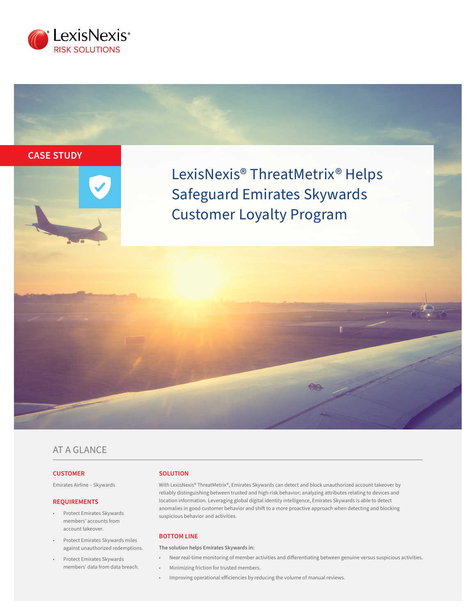

# **CASE STUDY**



LexisNexis® ThreatMetrix® Helps Safeguard Emirates Skywards Customer Loyalty Program

## AT A GLANCE

### **CUSTOMER**

Emirates Airline – Skywards

#### **REQUIREMENTS**

- Protect Emirates Skywards members' accounts from account takeover.
- Protect Emirates Skywards miles against unauthorized redemptions.
- Protect Emirates Skywards members' data from data breach.

#### **SOLUTION**

With LexisNexis® ThreatMetrix®, Emirates Skywards can detect and block unauthorized account takeover by reliably distinguishing between trusted and high-risk behavior; analyzing attributes relating to devices and location information. Leveraging global digital identity intelligence, Emirates Skywards is able to detect anomalies in good customer behavior and shift to a more proactive approach when detecting and blocking suspicious behavior and activities.

#### **BOTTOM LINE**

**The solution helps Emirates Skywards in:** 

- Near real-time monitoring of member activities and differentiating between genuine versus suspicious activities.
- Minimizing friction for trusted members.
- Improving operational efficiencies by reducing the volume of manual reviews.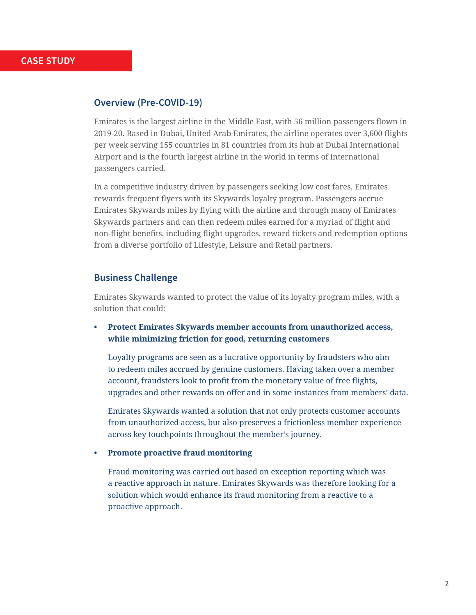## **Overview (Pre-COVID-19)**

Emirates is the largest airline in the Middle East, with 56 million passengers flown in 2019-20. Based in Dubai, United Arab Emirates, the airline operates over 3,600 flights per week serving 155 countries in 81 countries from its hub at Dubai International Airport and is the fourth largest airline in the world in terms of international passengers carried.

In a competitive industry driven by passengers seeking low cost fares, Emirates rewards frequent flyers with its Skywards loyalty program. Passengers accrue Emirates Skywards miles by flying with the airline and through many of Emirates Skywards partners and can then redeem miles earned for a myriad of flight and non-flight benefits, including flight upgrades, reward tickets and redemption options from a diverse portfolio of Lifestyle, Leisure and Retail partners.

## **Business Challenge**

Emirates Skywards wanted to protect the value of its loyalty program miles, with a solution that could:

**• Protect Emirates Skywards member accounts from unauthorized access, while minimizing friction for good, returning customers**

Loyalty programs are seen as a lucrative opportunity by fraudsters who aim to redeem miles accrued by genuine customers. Having taken over a member account, fraudsters look to profit from the monetary value of free flights, upgrades and other rewards on offer and in some instances from members' data.

Emirates Skywards wanted a solution that not only protects customer accounts from unauthorized access, but also preserves a frictionless member experience across key touchpoints throughout the member's journey.

**• Promote proactive fraud monitoring**

Fraud monitoring was carried out based on exception reporting which was a reactive approach in nature. Emirates Skywards was therefore looking for a solution which would enhance its fraud monitoring from a reactive to a proactive approach.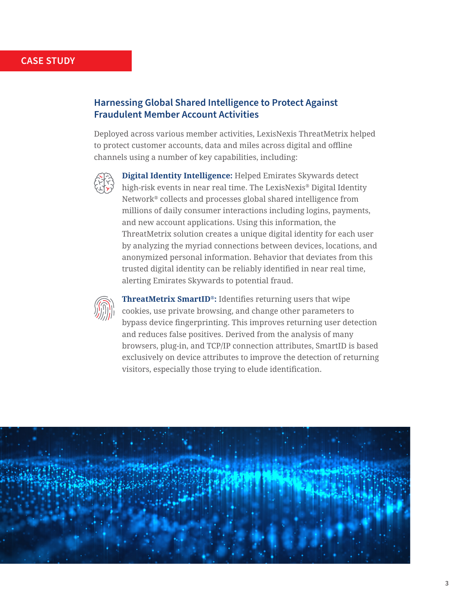## **CASE STUDY**

## **Harnessing Global Shared Intelligence to Protect Against Fraudulent Member Account Activities**

Deployed across various member activities, LexisNexis ThreatMetrix helped to protect customer accounts, data and miles across digital and offline channels using a number of key capabilities, including:



**Digital Identity Intelligence:** Helped Emirates Skywards detect high-risk events in near real time. The LexisNexis® Digital Identity Network® collects and processes global shared intelligence from millions of daily consumer interactions including logins, payments, and new account applications. Using this information, the ThreatMetrix solution creates a unique digital identity for each user by analyzing the myriad connections between devices, locations, and anonymized personal information. Behavior that deviates from this trusted digital identity can be reliably identified in near real time, alerting Emirates Skywards to potential fraud.



**ThreatMetrix SmartID®:** Identifies returning users that wipe cookies, use private browsing, and change other parameters to bypass device fingerprinting. This improves returning user detection and reduces false positives. Derived from the analysis of many browsers, plug-in, and TCP/IP connection attributes, SmartID is based exclusively on device attributes to improve the detection of returning visitors, especially those trying to elude identification.